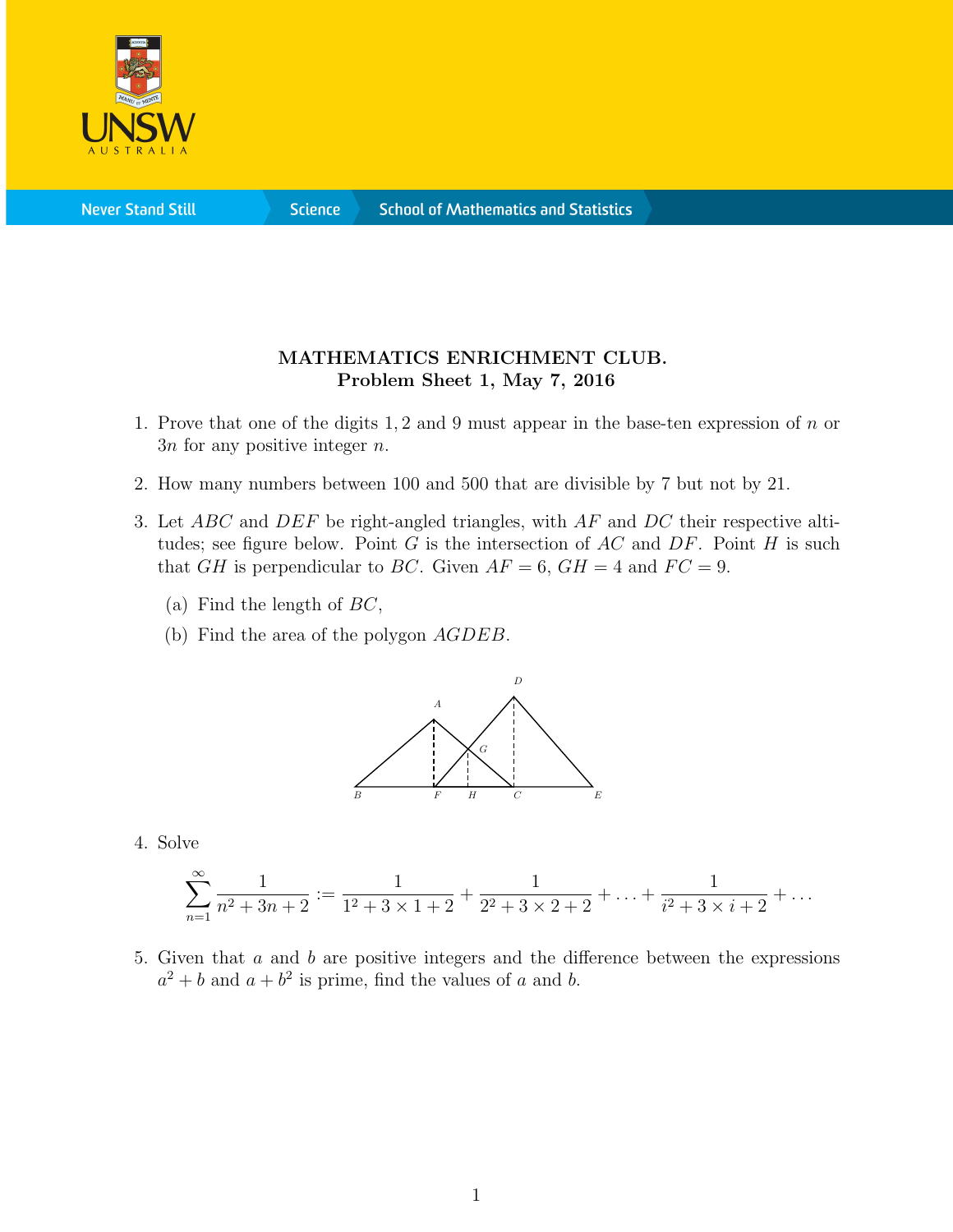

**Science** 

## MATHEMATICS ENRICHMENT CLUB. Problem Sheet 1, May 7, 2016

- 1. Prove that one of the digits 1, 2 and 9 must appear in the base-ten expression of  $n$  or  $3n$  for any positive integer n.
- 2. How many numbers between 100 and 500 that are divisible by 7 but not by 21.
- 3. Let ABC and DEF be right-angled triangles, with AF and DC their respective altitudes; see figure below. Point  $G$  is the intersection of  $AC$  and  $DF$ . Point  $H$  is such that GH is perpendicular to BC. Given  $AF = 6$ ,  $GH = 4$  and  $FC = 9$ .
	- (a) Find the length of  $BC$ ,
	- (b) Find the area of the polygon AGDEB.



4. Solve

$$
\sum_{n=1}^{\infty} \frac{1}{n^2 + 3n + 2} := \frac{1}{1^2 + 3 \times 1 + 2} + \frac{1}{2^2 + 3 \times 2 + 2} + \ldots + \frac{1}{i^2 + 3 \times i + 2} + \ldots
$$

5. Given that a and b are positive integers and the difference between the expressions  $a^2 + b$  and  $a + b^2$  is prime, find the values of a and b.